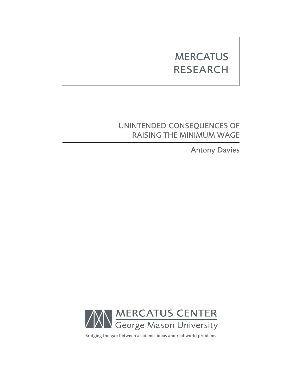# **MERCATUS RESEARCH**

# Unintended Consequences of Raising the Minimum Wage

Antony Davies



Bridging the gap between academic ideas and real-world problems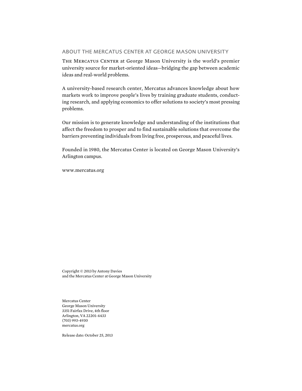## About the Mercatus Center at George Mason University

The Mercatus Center at George Mason University is the world's premier university source for market-oriented ideas—bridging the gap between academic ideas and real-world problems.

A university-based research center, Mercatus advances knowledge about how markets work to improve people's lives by training graduate students, conducting research, and applying economics to offer solutions to society's most pressing problems.

Our mission is to generate knowledge and understanding of the institutions that affect the freedom to prosper and to find sustainable solutions that overcome the barriers preventing individuals from living free, prosperous, and peaceful lives.

Founded in 1980, the Mercatus Center is located on George Mason University's Arlington campus.

[www.mercatus.org](http://mercatus.org/)

Copyright © 2013 by Antony Davies and the Mercatus Center at George Mason University

Mercatus Center George Mason University 3351 Fairfax Drive, 4th floor Arlington, VA 22201-4433 (703) 993-4930 mercatus.org

Release date: October 25, 2013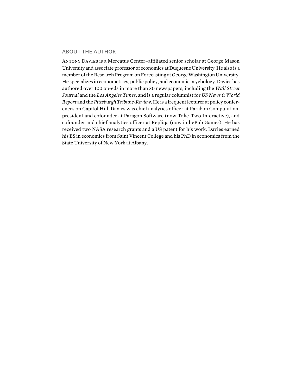## About the Author

Antony Davies is a Mercatus Center–affiliated senior scholar at George Mason University and associate professor of economics at Duquesne University. He also is a member of the Research Program on Forecasting at George Washington University. He specializes in econometrics, public policy, and economic psychology. Davies has authored over 100 op-eds in more than 30 newspapers, including the *Wall Street Journal* and the *Los Angeles Times*, and is a regular columnist for *US News & World Report* and the *Pittsburgh Tribune-Review*. He is a frequent lecturer at policy conferences on Capitol Hill. Davies was chief analytics officer at Parabon Computation, president and cofounder at Paragon Software (now Take-Two Interactive), and cofounder and chief analytics officer at Repliqa (now indiePub Games). He has received two NASA research grants and a US patent for his work. Davies earned his BS in economics from Saint Vincent College and his PhD in economics from the State University of New York at Albany.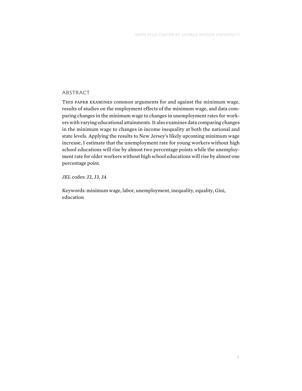# **ABSTRACT**

This paper examines common arguments for and against the minimum wage, results of studies on the employment effects of the minimum wage, and data comparing changes in the minimum wage to changes in unemployment rates for workers with varying educational attainments. It also examines data comparing changes in the minimum wage to changes in income inequality at both the national and state levels. Applying the results to New Jersey's likely upcoming minimum wage increase, I estimate that the unemployment rate for young workers without high school educations will rise by almost two percentage points while the unemployment rate for older workers without high school educations will rise by almost one percentage point.

*JEL* codes: J2, J3, J4

Keywords: minimum wage, labor, unemployment, inequality, equality, Gini, education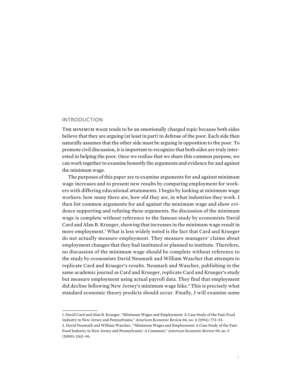#### **INTRODUCTION**

The minimum wage tends to be an emotionally charged topic because both sides believe that they are arguing (at least in part) in defense of the poor. Each side then naturally assumes that the other side must be arguing in opposition to the poor. To promote civil discussion, it is important to recognize that both sides are truly interested in helping the poor. Once we realize that we share this common purpose, we can work together to examine honestly the arguments and evidence for and against the minimum wage.

The purposes of this paper are to examine arguments for and against minimum wage increases and to present new results by comparing employment for workers with differing educational attainments. I begin by looking at minimum wage workers: how many there are, how old they are, in what industries they work. I then list common arguments for and against the minimum wage and show evidence supporting and refuting these arguments. No discussion of the minimum wage is complete without reference to the famous study by economists David Card and Alan B. Krueger, showing that increases in the minimum wage result in more employment.<sup>1</sup> What is less widely noted is the fact that Card and Krueger do not actually measure employment. They measure managers' claims about employment changes that they had instituted or planned to institute. Therefore, no discussion of the minimum wage should be complete without reference to the study by economists David Neumark and William Wascher that attempts to replicate Card and Krueger's results. Neumark and Wascher, publishing in the same academic journal as Card and Krueger, replicate Card and Krueger's study but measure employment using actual payroll data. They find that employment did decline following New Jersey's minimum wage hike.<sup>2</sup> This is precisely what standard economic theory predicts should occur. Finally, I will examine some

1. David Card and Alan B. Krueger, "Minimum Wages and Employment: A Case Study of the Fast-Food Industry in New Jersey and Pennsylvania," *American Economic Review* 84, no. 4 (1994): 772–93. 2. David Neumark and William Wascher, "'Minimum Wages and Employment: A Case Study of the Fast-Food Industry in New Jersey and Pennsylvania': A Comment," *American Economic Review* 90, no. 5 (2000): 1362–96.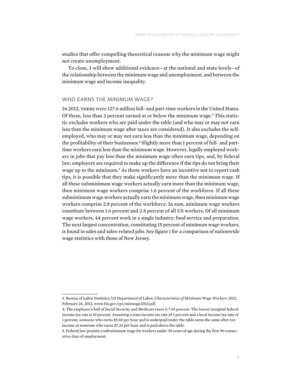studies that offer compelling theoretical reasons why the minimum wage might not create unemployment.

To close, I will show additional evidence—at the national and state levels—of the relationship between the minimum wage and unemployment, and between the minimum wage and income inequality.

#### WHO FARNS THE MINIMUM WAGE?

In 2012, there were 127.6 million full- and part-time workers in the United States. Of these, less than 3 percent earned at or below the minimum wage.<sup>3</sup> This statistic excludes workers who are paid under the table (and who may or may not earn less than the minimum wage after taxes are considered). It also excludes the selfemployed, who may or may not earn less than the minimum wage, depending on the profitability of their businesses.<sup>4</sup> Slightly more than 1 percent of full- and parttime workers earn less than the minimum wage. However, legally employed workers in jobs that pay less than the minimum wage often earn tips, and, by federal law, employers are required to make up the difference if the tips do not bring their wage up to the minimum.<sup>5</sup> As these workers have an incentive not to report cash tips, it is possible that they make significantly more than the minimum wage. If all these subminimum wage workers actually earn more than the minimum wage, then minimum wage workers comprise 1.6 percent of the workforce. If all these subminimum wage workers actually earn the minimum wage, then minimum wage workers comprise 2.8 percent of the workforce. In sum, minimum wage workers constitute between 1.6 percent and 2.8 percent of all US workers. Of all minimum wage workers, 44 percent work in a single industry: food service and preparation. The next largest concentration, constituting 15 percent of minimum wage workers, is found in sales and sales-related jobs. See figure 1 for a comparison of nationwide wage statistics with those of New Jersey.

<sup>3.</sup> Bureau of Labor Statistics, US Department of Labor, *Characteristics of Minimum Wage Workers: 2012*, February 26, 2013, [www.bls.gov/cps/minwage2012.pdf.](http://www.bls.gov/cps/minwage2012.pdf)

<sup>4.</sup> The employee's half of Social Security and Medicare taxes is 7.65 percent. The lowest marginal federal income tax rate is 10 percent. Assuming a state income tax rate of 3 percent and a local income tax rate of 1 percent, someone who earns \$5.68 per hour and is underpaid under the table earns the same after-tax income as someone who earns \$7.25 per hour and is paid above the table.

<sup>5.</sup> Federal law permits a subminimum wage for workers under 20 years of age during the first 90 consecutive days of employment.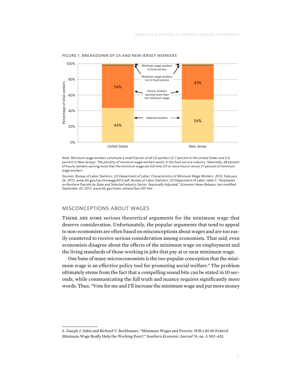

Figure 1. Breakdown of US and New Jersey Workers

*Note: Minimum wage workers constitute a small fraction of all US workers (2.7 percent in the United States and 2.6 percent in New Jersey). The plurality of minimum wage workers works in the food service industry. Nationally, 68 percent of hourly workers earning more than the minimum wage are full time (35 or more hours) versus 31 percent of minimum wage workers.*

.<br>Sources: Bureau of Labor Statistics, US Department of Labor, Characteristics of Minimum Wage Workers: 2012, February *26, 2013, [www.bls.gov/cps/minwage2012.pdf;](http://www.bls.gov/cps/minwage2012.pdf) Bureau of Labor Statistics, US Department of Labor, table 5, "Employees on Nonfarm Payrolls by State and Selected Industry Sector, Seasonally Adjusted," Economic News Release, last modified September 20, 2013, [www.bls.gov/news.release/laus.t05.htm](http://www.bls.gov/news.release/laus.t05.htm).*

#### Misconceptions about Wages \$8

There are some serious theoretical arguments for the minimum wage that deserve consideration. Unfortunately, the popular arguments that tend to appeal to non-economists are often based on misconceptions about wages and are too easily countered to receive serious consideration among economists. That said, even economists disagree about the effects of the minimum wage on employment and the living standards of those working in jobs that pay at or near minimum wage.

One bane of many microeconomists is the too-popular conception that the minimum wage is an effective policy tool for promoting social welfare.6 The problem ultimately stems from the fact that a compelling sound bite can be stated in 10 seconds, while communicating the full truth and nuance requires significantly more words. Thus, "Vote for me and I'll increase the minimum wage and put more money

<sup>6.</sup> Joseph J. Sabia and Richard V. Burkhauser, "Minimum Wages and Poverty: Will a \$9.50 Federal Minimum Wage Really Help the Working Poor?," *Southern Economic Journal* 76, no. 3: 592–623.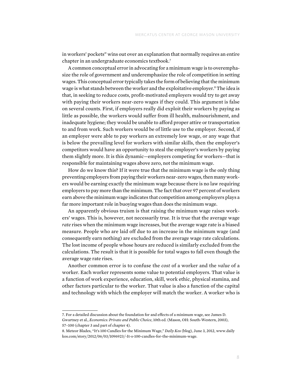in workers' pockets" wins out over an explanation that normally requires an entire chapter in an undergraduate economics textbook.7

A common conceptual error in advocating for a minimum wage is to overemphasize the role of government and underemphasize the role of competition in setting wages. This conceptual error typically takes the form of believing that the minimum wage is what stands between the worker and the exploitative employer.8 The idea is that, in seeking to reduce costs, profit-motivated employers would try to get away with paying their workers near-zero wages if they could. This argument is false on several counts. First, if employers really did exploit their workers by paying as little as possible, the workers would suffer from ill health, malnourishment, and inadequate hygiene; they would be unable to afford proper attire or transportation to and from work. Such workers would be of little use to the employer. Second, if an employer were able to pay workers an extremely low wage, or any wage that is below the prevailing level for workers with similar skills, then the employer's competitors would have an opportunity to steal the employer's workers by paying them slightly more. It is this dynamic—employers competing for workers—that is responsible for maintaining wages above zero, not the minimum wage.

How do we know this? If it were true that the minimum wage is the only thing preventing employers from paying their workers near-zero wages, then many workers would be earning exactly the minimum wage because there is no law requiring employers to pay more than the minimum. The fact that over 97 percent of workers earn above the minimum wage indicates that competition among employers plays a far more important role in buoying wages than does the minimum wage.

An apparently obvious truism is that raising the minimum wage raises workers' wages. This is, however, not necessarily true. It is true that the average wage *rate* rises when the minimum wage increases, but the average wage rate is a biased measure. People who are laid off due to an increase in the minimum wage (and consequently earn nothing) are excluded from the average wage rate calculations. The lost income of people whose hours are reduced is similarly excluded from the calculations. The result is that it is possible for total wages to fall even though the average wage rate rises.

Another common error is to confuse the *cost* of a worker and the *value* of a worker. Each worker represents some value to potential employers. That value is a function of work experience, education, skill, work ethic, physical stamina, and other factors particular to the worker. That value is also a function of the capital and technology with which the employer will match the worker. A worker who is

<sup>7.</sup> For a detailed discussion about the foundation for and effects of a minimum wage, see James D. Gwartney et al., *Economics: Private and Public Choice*, 10th ed. (Mason, OH: South-Western, 2003), 57–100 (chapter 3 and part of chapter 4).

<sup>8.</sup> Meteor Blades, "It's 100 Candles for the Minimum Wage," *Daily Kos* (blog), June 3, 2012, [www.daily](www.dailykos.com/story/2012/06/03/1096923/-It-s-100-candles-for-the-minimum-wage) [kos.com/story/2012/06/03/1096923/-It-s-100-candles-for-the-minimum-wage](www.dailykos.com/story/2012/06/03/1096923/-It-s-100-candles-for-the-minimum-wage).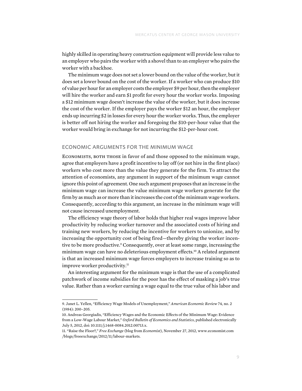highly skilled in operating heavy construction equipment will provide less value to an employer who pairs the worker with a shovel than to an employer who pairs the worker with a backhoe.

The minimum wage does not set a lower bound on the value of the worker, but it does set a lower bound on the cost of the worker. If a worker who can produce \$10 of value per hour for an employer costs the employer \$9 per hour, then the employer will hire the worker and earn \$1 profit for every hour the worker works. Imposing a \$12 minimum wage doesn't increase the value of the worker, but it does increase the cost of the worker. If the employer pays the worker \$12 an hour, the employer ends up incurring \$2 in losses for every hour the worker works. Thus, the employer is better off not hiring the worker and foregoing the \$10-per-hour value that the worker would bring in exchange for not incurring the \$12-per-hour cost.

#### Economic Arguments for the Minimum Wage

Economists, both those in favor of and those opposed to the minimum wage, agree that employers have a profit incentive to lay off (or not hire in the first place) workers who cost more than the value they generate for the firm. To attract the attention of economists, any argument in support of the minimum wage cannot ignore this point of agreement. One such argument proposes that an increase in the minimum wage can increase the value minimum wage workers generate for the firm by as much as or more than it increases the cost of the minimum wage workers. Consequently, according to this argument, an increase in the minimum wage will not cause increased unemployment.

The efficiency wage theory of labor holds that higher real wages improve labor productivity by reducing worker turnover and the associated costs of hiring and training new workers, by reducing the incentive for workers to unionize, and by increasing the opportunity cost of being fired—thereby giving the worker incentive to be more productive.<sup>9</sup> Consequently, over at least some range, increasing the minimum wage can have no deleterious employment effects.<sup>10</sup> A related argument is that an increased minimum wage forces employers to increase training so as to improve worker productivity.<sup>11</sup>

An interesting argument for the minimum wage is that the use of a complicated patchwork of income subsidies for the poor has the effect of masking a job's true value. Rather than a worker earning a wage equal to the true value of his labor and

<sup>9.</sup> Janet L. Yellen, "Efficiency Wage Models of Unemployment," *American Economic Review* 74, no. 2 (1984): 200–205.

<sup>10.</sup> Andreas Georgiadis, "Efficiency Wages and the Economic Effects of the Minimum Wage: Evidence from a Low-Wage Labour Market," *Oxford Bulletin of Economics and Statistics*, published electronically July 5, 2012, doi: 10.1111/j.1468-0084.2012.00713.x.

<sup>11. &</sup>quot;Raise the Floor?," *Free Exchange* (blog from *Economist*), November 27, 2012, [www.economist.com](http://www.economist.com/blogs/freeexchange/2012/11/labour-markets) [/blogs/freeexchange/2012/11/labour-markets](http://www.economist.com/blogs/freeexchange/2012/11/labour-markets).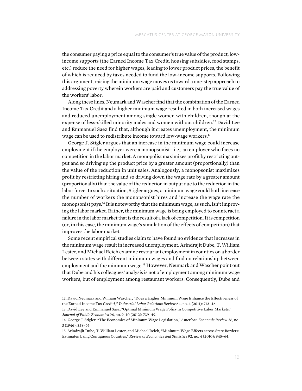the consumer paying a price equal to the consumer's true value of the product, lowincome supports (the Earned Income Tax Credit, housing subsidies, food stamps, etc.) reduce the need for higher wages, leading to lower product prices, the benefit of which is reduced by taxes needed to fund the low-income supports. Following this argument, raising the minimum wage moves us toward a one-step approach to addressing poverty wherein workers are paid and customers pay the true value of the workers' labor.

Along these lines, Neumark and Wascher find that the combination of the Earned Income Tax Credit and a higher minimum wage resulted in both increased wages and reduced unemployment among single women with children, though at the expense of less-skilled minority males and women without children.<sup>12</sup> David Lee and Emmanuel Saez find that, although it creates unemployment, the minimum wage can be used to redistribute income toward low-wage workers.<sup>13</sup>

George J. Stigler argues that an increase in the minimum wage could increase employment if the employer were a monopsonist—i.e., an employer who faces no competition in the labor market. A monopolist maximizes profit by restricting output and so driving up the product price by a greater amount (proportionally) than the value of the reduction in unit sales. Analogously, a monopsonist maximizes profit by restricting hiring and so driving down the wage rate by a greater amount (proportionally) than the value of the reduction in output due to the reduction in the labor force. In such a situation, Stigler argues, a minimum wage could both increase the number of workers the monopsonist hires and increase the wage rate the monopsonist pays.14 It is noteworthy that the minimum wage, as such, isn't improving the labor market. Rather, the minimum wage is being employed to counteract a failure in the labor market that is the result of a lack of competition. It is competition (or, in this case, the minimum wage's simulation of the effects of competition) that improves the labor market.

Some recent empirical studies claim to have found no evidence that increases in the minimum wage result in increased unemployment. Arindrajit Dube, T. William Lester, and Michael Reich examine restaurant employment in counties on a border between states with different minimum wages and find no relationship between employment and the minimum wage.15 However, Neumark and Wascher point out that Dube and his colleagues' analysis is not of employment among minimum wage workers, but of employment among restaurant workers. Consequently, Dube and

<sup>12.</sup> David Neumark and William Wascher, "Does a Higher Minimum Wage Enhance the Effectiveness of the Earned Income Tax Credit?," *Industrial Labor Relations Review* 64, no. 4 (2011): 712–46.

<sup>13.</sup> David Lee and Emmanuel Saez, "Optimal Minimum Wage Policy in Competitive Labor Markets," *Journal of Public Economics* 96, no. 9–10 (2012): 739–49.

<sup>14.</sup> George J. Stigler, "The Economics of Minimum Wage Legislation," *American Economic Review* 36, no. 3 (1946): 358–65.

<sup>15.</sup> Arindrajit Dube, T. William Lester, and Michael Reich, "Minimum Wage Effects across State Borders: Estimates Using Contiguous Counties," *Review of Economics and Statistics* 92, no. 4 (2010): 945–64.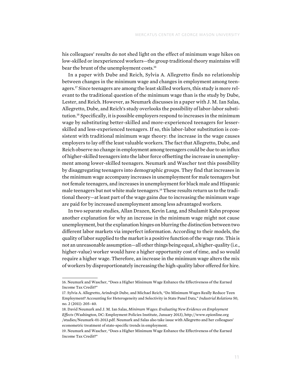his colleagues' results do not shed light on the effect of minimum wage hikes on low-skilled or inexperienced workers—the group traditional theory maintains will bear the brunt of the unemployment costs.<sup>16</sup>

In a paper with Dube and Reich, Sylvia A. Allegretto finds no relationship between changes in the minimum wage and changes in employment among teenagers.<sup>17</sup> Since teenagers are among the least skilled workers, this study is more relevant to the traditional question of the minimum wage than is the study by Dube, Lester, and Reich. However, as Neumark discusses in a paper with J. M. Ian Salas, Allegretto, Dube, and Reich's study overlooks the possibility of labor-labor substitution.18 Specifically, it is possible employers respond to increases in the minimum wage by substituting better-skilled and more-experienced teenagers for lesserskilled and less-experienced teenagers. If so, this labor-labor substitution is consistent with traditional minimum wage theory: the increase in the wage causes employers to lay off the least valuable workers. The fact that Allegretto, Dube, and Reich observe no change in employment among teenagers could be due to an influx of higher-skilled teenagers into the labor force offsetting the increase in unemployment among lower-skilled teenagers. Neumark and Wascher test this possibility by disaggregating teenagers into demographic groups. They find that increases in the minimum wage accompany increases in unemployment for male teenagers but not female teenagers, and increases in unemployment for black male and Hispanic male teenagers but not white male teenagers.19 These results return us to the traditional theory—at least part of the wage gains due to increasing the minimum wage are paid for by increased unemployment among less advantaged workers.

In two separate studies, Allan Drazen, Kevin Lang, and Shulamit Kahn propose another explanation for why an increase in the minimum wage might not cause unemployment, but the explanation hinges on blurring the distinction between two different labor markets via imperfect information. According to their models, the quality of labor supplied to the market is a positive function of the wage rate. This is not an unreasonable assumption—all other things being equal, a higher-quality (i.e., higher-value) worker would have a higher opportunity cost of time, and so would require a higher wage. Therefore, an increase in the minimum wage alters the mix of workers by disproportionately increasing the high-quality labor offered for hire.

<sup>16.</sup> Neumark and Wascher, "Does a Higher Minimum Wage Enhance the Effectiveness of the Earned Income Tax Credit?"

<sup>17.</sup> Sylvia A. Allegretto, Arindrajit Dube, and Michael Reich, "Do Minimum Wages Really Reduce Teen Employment? Accounting for Heterogeneity and Selectivity in State Panel Data," *Industrial Relations* 50, no. 2 (2011): 205–40.

<sup>18.</sup> David Neumark and J. M. Ian Salas, *Minimum Wages: Evaluating New Evidence on Employment Effects* (Washington, DC: Employment Policies Institute, January 2013), [http://www.epionline.org](http://www.epionline.org/studies/Neumark-01-2013.pdf) [/studies/Neumark-01-2013.pdf.](http://www.epionline.org/studies/Neumark-01-2013.pdf) Neumark and Salas also take issue with Allegretto and her colleagues' econometric treatment of state-specific trends in employment.

<sup>19.</sup> Neumark and Wascher, "Does a Higher Minimum Wage Enhance the Effectiveness of the Earned Income Tax Credit?"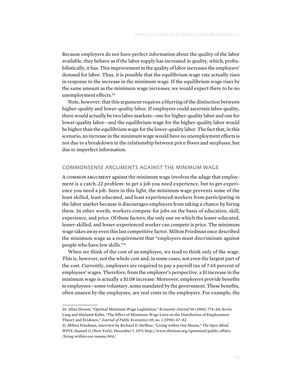Because employers do not have perfect information about the quality of the labor available, they behave as if the labor supply has increased in quality, which, probabilistically, it has. This improvement in the quality of labor increases the employers' demand for labor. Thus, it is possible that the equilibrium wage rate actually rises in response to the increase in the minimum wage. If the equilibrium wage rises by the same amount as the minimum wage increases, we would expect there to be no unemployment effects.<sup>20</sup>

Note, however, that this argument requires a blurring of the distinction between higher-quality and lower-quality labor. If employers could ascertain labor quality, there would actually be two labor markets—one for higher-quality labor and one for lower-quality labor—and the equilibrium wage for the higher-quality labor would be higher than the equilibrium wage for the lower-quality labor. The fact that, in this scenario, an increase in the minimum wage would have no unemployment effects is not due to a breakdown in the relationship between price floors and surpluses, but due to imperfect information.

#### Commonsense Arguments against the Minimum Wage

A common argument against the minimum wage involves the adage that employment is a catch-22 problem: to get a job you need experience, but to get experience you need a job. Seen in this light, the minimum wage prevents some of the least skilled, least educated, and least experienced workers from participating in the labor market because it discourages employers from taking a chance by hiring them. In other words, workers compete for jobs on the basis of education, skill, experience, and price. Of these factors, the only one on which the lesser-educated, lesser-skilled, and lesser-experienced worker can compete is price. The minimum wage takes away even this last competitive factor. Milton Friedman once described the minimum wage as a requirement that "employers must discriminate against people who have low skills."21

When we think of the cost of an employee, we tend to think only of the wage. This is, however, not the whole cost and, in some cases, not even the largest part of the cost. Currently, employers are required to pay a payroll tax of 7.65 percent of employees' wages. Therefore, from the employer's perspective, a \$1 increase in the minimum wage is actually a \$1.08 increase. Moreover, employers provide benefits to employees—some voluntary, some mandated by the government. These benefits, often unseen by the employees, are real costs to the employers. For example, the

<sup>20.</sup> Allan Drazen, "Optimal Minimum Wage Legislation," *Economic Journal* 96 (1986): 774–84; Kevin Lang and Shulamit Kahn, "The Effect of Minimum-Wage Laws on the Distribution of Employment: Theory and Evidence," *Journal of Public Economics* 69, no. 1 (1998): 67–82.

<sup>21.</sup> Milton Friedman, interview by Richard D. Heffner, "Living within Our Means," *The Open Mind*, WPIX channel 11 (New York), December 7, 1975, [http://www.thirteen.org/openmind/public-affairs](http://www.thirteen.org/openmind/public-affairs/living-within-our-means/494/)  [/living-within-our-means/494/.](http://www.thirteen.org/openmind/public-affairs/living-within-our-means/494/)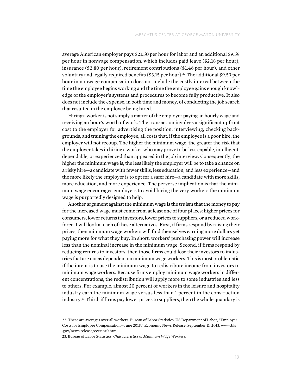average American employer pays \$21.50 per hour for labor and an additional \$9.59 per hour in nonwage compensation, which includes paid leave (\$2.18 per hour), insurance (\$2.80 per hour), retirement contributions (\$1.46 per hour), and other voluntary and legally required benefits (\$3.15 per hour).<sup>22</sup> The additional \$9.59 per hour in nonwage compensation does not include the costly interval between the time the employee begins working and the time the employee gains enough knowledge of the employer's systems and procedures to become fully productive. It also does not include the expense, in both time and money, of conducting the job search that resulted in the employee being hired.

Hiring a worker is not simply a matter of the employer paying an hourly wage and receiving an hour's worth of work. The transaction involves a significant upfront cost to the employer for advertising the position, interviewing, checking backgrounds, and training the employee, all costs that, if the employee is a poor hire, the employer will not recoup. The higher the minimum wage, the greater the risk that the employer takes in hiring a worker who may prove to be less capable, intelligent, dependable, or experienced than appeared in the job interview. Consequently, the higher the minimum wage is, the less likely the employer will be to take a chance on a risky hire—a candidate with fewer skills, less education, and less experience—and the more likely the employer is to opt for a safer hire—a candidate with more skills, more education, and more experience. The perverse implication is that the minimum wage encourages employers to avoid hiring the very workers the minimum wage is purportedly designed to help.

Another argument against the minimum wage is the truism that the money to pay for the increased wage must come from at least one of four places: higher prices for consumers, lower returns to investors, lower prices to suppliers, or a reduced workforce. I will look at each of these alternatives. First, if firms respond by raising their prices, then minimum wage workers will find themselves earning more dollars yet paying more for what they buy. In short, workers' purchasing power will increase less than the nominal increase in the minimum wage. Second, if firms respond by reducing returns to investors, then those firms could lose their investors to industries that are not as dependent on minimum wage workers. This is most problematic if the intent is to use the minimum wage to redistribute income from investors to minimum wage workers. Because firms employ minimum wage workers in different concentrations, the redistribution will apply more to some industries and less to others. For example, almost 20 percent of workers in the leisure and hospitality industry earn the minimum wage versus less than 1 percent in the construction industry.23 Third, if firms pay lower prices to suppliers, then the whole quandary is

<sup>22.</sup> These are averages over all workers. Bureau of Labor Statistics, US Department of Labor, "Employer Costs for Employee Compensation—June 2013," Economic News Release, September 11, 2013, [www.bls](www.bls.gov/news.release/ecec.nr0.htm) [.gov/news.release/ecec.nr0.htm.](www.bls.gov/news.release/ecec.nr0.htm)

<sup>23.</sup> Bureau of Labor Statistics, *Characteristics of Minimum Wage Workers*.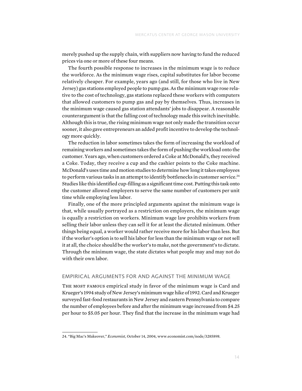merely pushed up the supply chain, with suppliers now having to fund the reduced prices via one or more of these four means.

The fourth possible response to increases in the minimum wage is to reduce the workforce. As the minimum wage rises, capital substitutes for labor become relatively cheaper. For example, years ago (and still, for those who live in New Jersey) gas stations employed people to pump gas. As the minimum wage rose relative to the cost of technology, gas stations replaced these workers with computers that allowed customers to pump gas and pay by themselves. Thus, increases in the minimum wage caused gas station attendants' jobs to disappear. A reasonable counterargument is that the falling cost of technology made this switch inevitable. Although this is true, the rising minimum wage not only made the transition occur sooner, it also gave entrepreneurs an added profit incentive to develop the technology more quickly.

The reduction in labor sometimes takes the form of increasing the workload of remaining workers and sometimes takes the form of pushing the workload onto the customer. Years ago, when customers ordered a Coke at McDonald's, they received a Coke. Today, they receive a cup and the cashier points to the Coke machine. McDonald's uses time and motion studies to determine how long it takes employees to perform various tasks in an attempt to identify bottlenecks in customer service.<sup>24</sup> Studies like this identified cup-filling as a significant time cost. Putting this task onto the customer allowed employers to serve the same number of customers per unit time while employing less labor.

Finally, one of the more principled arguments against the minimum wage is that, while usually portrayed as a restriction on employers, the minimum wage is equally a restriction on workers. Minimum wage law prohibits workers from selling their labor unless they can sell it for at least the dictated minimum. Other things being equal, a worker would rather receive more for his labor than less. But if the worker's option is to sell his labor for less than the minimum wage or not sell it at all, the choice should be the worker's to make, not the government's to dictate. Through the minimum wage, the state dictates what people may and may not do with their own labor.

# Empirical Arguments for and against the Minimum Wage

The most famous empirical study in favor of the minimum wage is Card and Krueger's 1994 study of New Jersey's minimum wage hike of 1992. Card and Krueger surveyed fast-food restaurants in New Jersey and eastern Pennsylvania to compare the number of employees before and after the minimum wage increased from \$4.25 per hour to \$5.05 per hour. They find that the increase in the minimum wage had

<sup>24. &</sup>quot;Big Mac's Makeover," *Economist*, October 14, 2004, [www.economist.com/node/3285898](http://www.economist.com/node/3285898).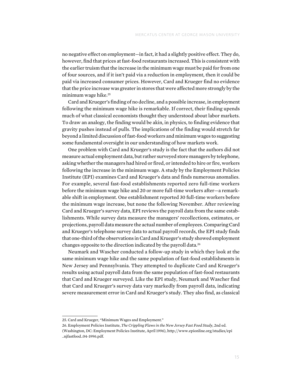no negative effect on employment—in fact, it had a slightly positive effect. They do, however, find that prices at fast-food restaurants increased. This is consistent with the earlier truism that the increase in the minimum wage must be paid for from one of four sources, and if it isn't paid via a reduction in employment, then it could be paid via increased consumer prices. However, Card and Krueger find no evidence that the price increase was greater in stores that were affected more strongly by the minimum wage hike.<sup>25</sup>

Card and Krueger's finding of no decline, and a possible increase, in employment following the minimum wage hike is remarkable. If correct, their finding upends much of what classical economists thought they understood about labor markets. To draw an analogy, the finding would be akin, in physics, to finding evidence that gravity pushes instead of pulls. The implications of the finding would stretch far beyond a limited discussion of fast-food workers and minimum wages to suggesting some fundamental oversight in our understanding of how markets work.

One problem with Card and Krueger's study is the fact that the authors did not measure actual employment data, but rather surveyed store managers by telephone, asking whether the managers had hired or fired, or intended to hire or fire, workers following the increase in the minimum wage. A study by the Employment Policies Institute (EPI) examines Card and Krueger's data and finds numerous anomalies. For example, several fast-food establishments reported zero full-time workers before the minimum wage hike and 20 or more full-time workers after—a remarkable shift in employment. One establishment reported 30 full-time workers before the minimum wage increase, but none the following November. After reviewing Card and Krueger's survey data, EPI reviews the payroll data from the same establishments. While survey data measure the managers' recollections, estimates, or projections, payroll data measure the actual number of employees. Comparing Card and Krueger's telephone survey data to actual payroll records, the EPI study finds that one-third of the observations in Card and Krueger's study showed employment changes opposite to the direction indicated by the payroll data.26

Neumark and Wascher conducted a follow-up study in which they look at the same minimum wage hike and the same population of fast-food establishments in New Jersey and Pennsylvania. They attempted to duplicate Card and Krueger's results using actual payroll data from the same population of fast-food restaurants that Card and Krueger surveyed. Like the EPI study, Neumark and Wascher find that Card and Krueger's survey data vary markedly from payroll data, indicating severe measurement error in Card and Krueger's study. They also find, as classical

<sup>25.</sup> Card and Krueger, "Minimum Wages and Employment."

<sup>26.</sup> Employment Policies Institute, *The Crippling Flaws in the New Jersey Fast Food Study*, 2nd ed. (Washington, DC: Employment Policies Institute, April 1996), [http://www.epionline.org/studies/epi](http://www.epionline.org/studies/epi_njfastfood_04-1996.pdf) [\\_njfastfood\\_04-1996.pdf.](http://www.epionline.org/studies/epi_njfastfood_04-1996.pdf)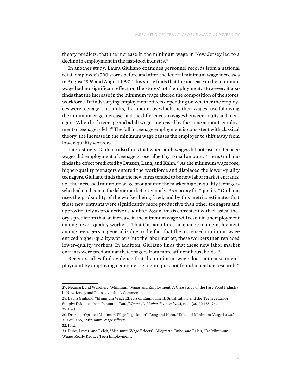theory predicts, that the increase in the minimum wage in New Jersey led to a decline in employment in the fast-food industry.<sup>27</sup>

In another study, Laura Giuliano examines personnel records from a national retail employer's 700 stores before and after the federal minimum wage increases in August 1996 and August 1997. This study finds that the increase in the minimum wage had no significant effect on the stores' total employment. However, it also finds that the increase in the minimum wage altered the composition of the stores' workforce. It finds varying employment effects depending on whether the employees were teenagers or adults, the amount by which the their wages rose following the minimum wage increase, and the differences in wages between adults and teenagers. When both teenage and adult wages increased by the same amount, employment of teenagers fell.28 The fall in teenage employment is consistent with classical theory: the increase in the minimum wage causes the employer to shift away from lower-quality workers.

Interestingly, Giuliano also finds that when adult wages did not rise but teenage wages did, employment of teenagers rose, albeit by a small amount.<sup>29</sup> Here, Giuliano finds the effect predicted by Drazen, Lang, and Kahn.<sup>30</sup> As the minimum wage rose, higher-quality teenagers entered the workforce and displaced the lower-quality teenagers. Giuliano finds that the new hires tended to be new labor market entrants: i.e., the increased minimum wage brought into the market higher-quality teenagers who had not been in the labor market previously. As a proxy for "quality," Giuliano uses the probability of the worker being fired, and by this metric, estimates that these new entrants were significantly more productive than other teenagers and approximately as productive as adults. $31$  Again, this is consistent with classical theory's prediction that an increase in the minimum wage will result in unemployment among lower-quality workers. That Giuliano finds no change in unemployment among teenagers in general is due to the fact that the increased minimum wage enticed higher-quality workers into the labor market; these workers then replaced lower-quality workers. In addition, Giuliano finds that these new labor market entrants were predominantly teenagers from more affluent households.<sup>32</sup>

Recent studies find evidence that the minimum wage does not cause unemployment by employing econometric techniques not found in earlier research.<sup>33</sup>

<sup>27.</sup> Neumark and Wascher, "'Minimum Wages and Employment: A Case Study of the Fast-Food Industry in New Jersey and Pennsylvania': A Comment."

<sup>28.</sup> Laura Giuliano, "Minimum Wage Effects on Employment, Substitution, and the Teenage Labor Supply: Evidence from Personnel Data," *Journal of Labor Economics* 31, no. 1 (2013): 155–94. 29. Ibid.

<sup>30.</sup> Drazen, "Optimal Minimum Wage Legislation"; Lang and Kahn, "Effect of Minimum-Wage Laws." 31. Giuliano, "Minimum Wage Effects."

<sup>32.</sup> Ibid.

<sup>33.</sup> Dube, Lester, and Reich, "Minimum Wage Effects"; Allegretto, Dube, and Reich, "Do Minimum Wages Really Reduce Teen Employment?"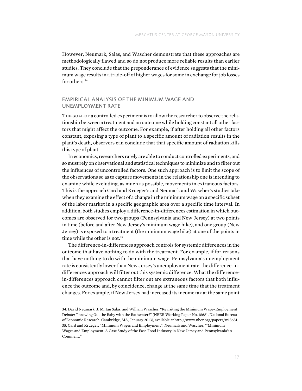However, Neumark, Salas, and Wascher demonstrate that these approaches are methodologically flawed and so do not produce more reliable results than earlier studies. They conclude that the preponderance of evidence suggests that the minimum wage results in a trade-off of higher wages for some in exchange for job losses for others.<sup>34</sup>

# Empirical Analysis of the Minimum Wage and Unemployment Rate

THE GOAL OF a controlled experiment is to allow the researcher to observe the relationship between a treatment and an outcome while holding constant all other factors that might affect the outcome. For example, if after holding all other factors constant, exposing a type of plant to a specific amount of radiation results in the plant's death, observers can conclude that that specific amount of radiation kills this type of plant.

In economics, researchers rarely are able to conduct controlled experiments, and so must rely on observational and statistical techniques to minimize and to filter out the influences of uncontrolled factors. One such approach is to limit the scope of the observations so as to capture movements in the relationship one is intending to examine while excluding, as much as possible, movements in extraneous factors. This is the approach Card and Krueger's and Neumark and Wascher's studies take when they examine the effect of a change in the minimum wage on a specific subset of the labor market in a specific geographic area over a specific time interval. In addition, both studies employ a difference-in-differences estimation in which outcomes are observed for two groups (Pennsylvania and New Jersey) at two points in time (before and after New Jersey's minimum wage hike), and one group (New Jersey) is exposed to a treatment (the minimum wage hike) at one of the points in time while the other is not.<sup>35</sup>

The difference-in-differences approach controls for systemic differences in the outcome that have nothing to do with the treatment. For example, if for reasons that have nothing to do with the minimum wage, Pennsylvania's unemployment rate is consistently lower than New Jersey's unemployment rate, the difference-indifferences approach will filter out this systemic difference. What the differencein-differences approach cannot filter out are extraneous factors that both influence the outcome and, by coincidence, change at the same time that the treatment changes. For example, if New Jersey had increased its income tax at the same point

<sup>34.</sup> David Neumark, J. M. Ian Salas, and William Wascher, "Revisiting the Minimum Wage–Employment Debate: Throwing Out the Baby with the Bathwater?" (NBER Working Paper No. 18681, National Bureau of Economic Research, Cambridge, MA, January 2013), available at<http://www.nber.org/papers/w18681>. 35. Card and Krueger, "Minimum Wages and Employment"; Neumark and Wascher, "'Minimum Wages and Employment: A Case Study of the Fast-Food Industry in New Jersey and Pennsylvania': A Comment."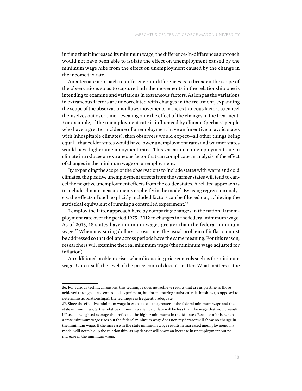in time that it increased its minimum wage, the difference-in-differences approach would not have been able to isolate the effect on unemployment caused by the minimum wage hike from the effect on unemployment caused by the change in the income tax rate.

An alternate approach to difference-in-differences is to broaden the scope of the observations so as to capture both the movements in the relationship one is intending to examine and variations in extraneous factors. As long as the variations in extraneous factors are uncorrelated with changes in the treatment, expanding the scope of the observations allows movements in the extraneous factors to cancel themselves out over time, revealing only the effect of the changes in the treatment. For example, if the unemployment rate is influenced by climate (perhaps people who have a greater incidence of unemployment have an incentive to avoid states with inhospitable climates), then observers would expect—all other things being equal—that colder states would have lower unemployment rates and warmer states would have higher unemployment rates. This variation in unemployment due to climate introduces an extraneous factor that can complicate an analysis of the effect of changes in the minimum wage on unemployment.

By expanding the scope of the observations to include states with warm and cold climates, the positive unemployment effects from the warmer states will tend to cancel the negative unemployment effects from the colder states. A related approach is to include climate measurements explicitly in the model. By using regression analysis, the effects of such explicitly included factors can be filtered out, achieving the statistical equivalent of running a controlled experiment.<sup>36</sup>

I employ the latter approach here by comparing changes in the national unemployment rate over the period 1975–2012 to changes in the federal minimum wage. As of 2013, 18 states have minimum wages greater than the federal minimum wage.37 When measuring dollars across time, the usual problem of inflation must be addressed so that dollars across periods have the same meaning. For this reason, researchers will examine the real minimum wage (the minimum wage adjusted for inflation).

An additional problem arises when discussing price controls such as the minimum wage. Unto itself, the level of the price control doesn't matter. What matters is the

<sup>36.</sup> For various technical reasons, this technique does not achieve results that are as pristine as those achieved through a true controlled experiment, but for measuring statistical relationships (as opposed to deterministic relationships), the technique is frequently adequate.

<sup>37.</sup> Since the effective minimum wage in each state is the greater of the federal minimum wage and the state minimum wage, the relative minimum wage I calculate will be less than the wage that would result if I used a weighted average that reflected the higher minimums in the 18 states. Because of this, when a state minimum wage rises but the federal minimum wage does not, my dataset will show no change in the minimum wage. If the increase in the state minimum wage results in increased unemployment, my model will not pick up the relationship, as my dataset will show an increase in unemployment but no increase in the minimum wage.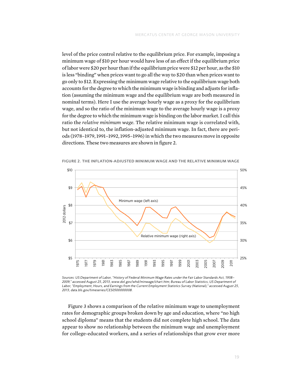level of the price control relative to the equilibrium price. For example, imposing a minimum wage of \$10 per hour would have less of an effect if the equilibrium price of labor were \$20 per hour than if the equilibrium price were \$12 per hour, as the \$10 is less "binding" when prices want to go all the way to \$20 than when prices want to go only to \$12. Expressing the minimum wage relative to the equilibrium wage both accounts for the degree to which the minimum wage is binding and adjusts for inflation (assuming the minimum wage and the equilibrium wage are both measured in nominal terms). Here I use the average hourly wage as a proxy for the equilibrium wage, and so the ratio of the minimum wage to the average hourly wage is a proxy for the degree to which the minimum wage is binding on the labor market. I call this ratio the *relative minimum wage*. The relative minimum wage is correlated with, but not identical to, the inflation-adjusted minimum wage. In fact, there are periods (1978–1979, 1991–1992, 1995–1996) in which the two measures move in opposite directions. These two measures are shown in figure 2.



Figure 2. The Inflation-Adjusted Minimum Wage and the Relative Minimum Wage

*Sources: US Department of Labor, "History of Federal Minimum Wage Rates under the Fair Labor Standards Act, 1938– 2009," accessed August 25, 2013, [www.dol.gov/whd/minwage/chart.htm](http://www.dol.gov/whd/minwage/chart.htm); Bureau of Labor Statistics, US Department of Labor, "Employment, Hours, and Earnings from the Current Employment Statistics Survey (National)," accessed August 25, 2013, [data.bls.gov/timeseries/CES0500000008](http://data.bls.gov/timeseries/CES0500000008).*

Figure 3 shows a comparison of the relative minimum wage to unemployment rates for demographic groups broken down by age and education, where "no high school diploma" means that the students did not complete high school. The data appear to show no relationship between the minimum wage and unemployment for college-educated workers, and a series of relationships that grow ever more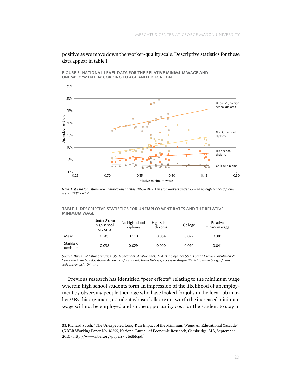positive as we move down the worker-quality scale. Descriptive statistics for these data appear in table 1.

Figure 3. National-Level Data for the Relative Minimum Wage and Unemployment, According to Age and Education



*Note: Data are for nationwide unemployment rates, 1975–2012. Data for workers under 25 with no high school diploma are for 1985–2012.*

Table 1. Descriptive Statistics for Unemployment Rates and the Relative Minimum Wage

|                       | Under 25, no<br>high school<br>diploma | No high school<br>diploma | High school<br>diploma | College | Relative<br>minimum wage |
|-----------------------|----------------------------------------|---------------------------|------------------------|---------|--------------------------|
| Mean                  | 0.205                                  | 0.110                     | 0.064                  | 0.027   | 0.381                    |
| Standard<br>deviation | 0.038                                  | 0.029                     | 0.020                  | 0.010   | 0.041                    |

*Source: Bureau of Labor Statistics, US Department of Labor, table A-4, "Employment Status of the Civilian Population 25 Years and Over by Educational Attainment," Economic News Release, accessed August 25, 2013, [www.bls.gov/news](http://www.bls.gov/news.release/empsit.t04.htm) [.release/empsit.t04.htm.](http://www.bls.gov/news.release/empsit.t04.htm)*

Previous research has identified "peer effects" relating to the minimum wage wherein high school students form an impression of the likelihood of unemployment by observing people their age who have looked for jobs in the local job market.<sup>38</sup> By this argument, a student whose skills are not worth the increased minimum wage will not be employed and so the opportunity cost for the student to stay in

<sup>38.</sup> Richard Sutch, "The Unexpected Long-Run Impact of the Minimum Wage: An Educational Cascade" (NBER Working Paper No. 16355, National Bureau of Economic Research, Cambridge, MA, September 2010), [http://www.nber.org/papers/w16355.pdf.](http://www.nber.org/papers/w16355.pdf)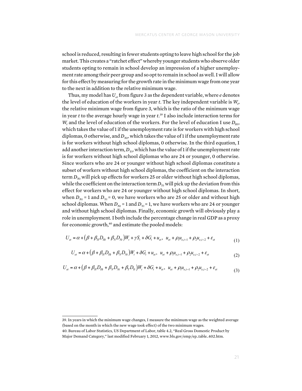school is reduced, resulting in fewer students opting to leave high school for the job market. This creates a "ratchet effect" whereby younger students who observe older students opting to remain in school develop an impression of a higher unemployment rate among their peer group and so opt to remain in school as well. I will allow for this effect by measuring for the growth rate in the minimum wage from one year to the next in addition to the relative minimum wage.

Thus, my model has  $U_{et}$  from figure 3 as the dependent variable, where  $e$  denotes the level of education of the workers in year  $t$ . The key independent variable is  $W_t$ , the relative minimum wage from figure 3, which is the ratio of the minimum wage in year *t* to the average hourly wage in year  $t^{39}$  I also include interaction terms for  $W_t$  and the level of education of the workers. For the level of education I use  $D_{Ht}$ , which takes the value of 1 if the unemployment rate is for workers with high school diplomas, 0 otherwise, and  $D_{Nt}$ , which takes the value of 1 if the unemployment rate is for workers without high school diplomas, 0 otherwise. In the third equation, I add another interaction term,  $D_{Yt}$ , which has the value of 1 if the unemployment rate is for workers without high school diplomas who are 24 or younger, 0 otherwise. Since workers who are 24 or younger without high school diplomas constitute a subset of workers without high school diplomas, the coefficient on the interaction term  $D_{Nt}$  will pick up effects for workers 25 or older without high school diplomas, while the coefficient on the interaction term  $D_{Y_t}$  will pick up the deviation from this effect for workers who are 24 or younger without high school diplomas. In short, when  $D_{Nt}$  = 1 and  $D_{Yt}$  = 0, we have workers who are 25 or older and without high school diplomas. When  $D_{Nt}$  = 1 and  $D_{Yt}$  = 1, we have workers who are 24 or younger and without high school diplomas. Finally, economic growth will obviously play a and without high school diplomas. Finany, economic growth will obviously play a<br>role in unemployment. I both include the percentage change in real GDP as a proxy for economic growth,<sup>40</sup> and estimate the pooled models:

$$
U_{et} = \alpha + (\beta + \beta_H D_{Ht} + \beta_N D_{Nt})W_t + \gamma S_t + \delta G_t + u_{et}, \ u_{et} + \rho_l u_{e,t-1} + \rho_2 u_{e,t-2} + \varepsilon_{et}
$$
 (1)

$$
U_{el} = \alpha + (\beta + \beta_H D_{Hl} + \beta_N D_{Ni})W_l + \delta G_l + u_{el}, \ u_{el} + \rho_l u_{el-l} + \rho_2 u_{el-l} + \varepsilon_{el}
$$
 (2)

$$
U_{et} = \alpha + (\beta + \beta_H D_{Ht} + \beta_N D_{Nt} + \beta_Y D_{Yt})W_t + \delta G_t + u_{et}, \ u_{et} + \rho_1 u_{e,t-1} + \rho_2 u_{e,t-2} + \varepsilon_{et}
$$
(3)

<sup>39.</sup> In years in which the minimum wage changes, I measure the minimum wage as the weighted average (based on the month in which the new wage took effect) of the two minimum wages.

<sup>40.</sup> Bureau of Labor Statistics, US Department of Labor, table 4.2, "Real Gross Domestic Product by Major Demand Category," last modified February 1, 2012, [www.bls.gov/emp/ep\\_table\\_402.htm](http://www.bls.gov/emp/ep_table_402.htm).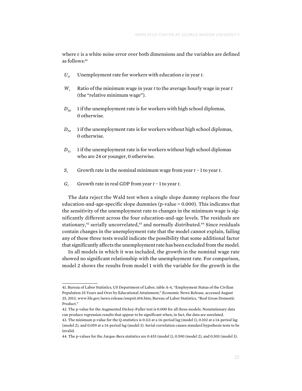where ε is a white noise error over both dimensions and the variables are defined as follows:41

- $U_{et}$  Unemployment rate for workers with education *e* in year *t*.
- *Wt* Ratio of the minimum wage in year *t* to the average hourly wage in year *t* (the "relative minimum wage").
- $D_{Ht}$  1 if the unemployment rate is for workers with high school diplomas, 0 otherwise.
- $D_{Nt}$  1 if the unemployment rate is for workers without high school diplomas, 0 otherwise.
- $D_{y_t}$  1 if the unemployment rate is for workers without high school diplomas who are 24 or younger, 0 otherwise.
- *St* Growth rate in the nominal minimum wage from year *t* − 1 to year *t*.
- *G<sub>t</sub>* Growth rate in real GDP from year *t* − 1 to year *t*.

The data reject the Wald test when a single slope dummy replaces the four education-and-age-specific slope dummies (p-value = 0.000). This indicates that the sensitivity of the unemployment rate to changes in the minimum wage is significantly different across the four education-and-age levels. The residuals are stationary,<sup>42</sup> serially uncorrelated,<sup>43</sup> and normally distributed.<sup>44</sup> Since residuals contain changes in the unemployment rate that the model cannot explain, failing any of these three tests would indicate the possibility that some additional factor that significantly affects the unemployment rate has been excluded from the model.

In all models in which it was included, the growth in the nominal wage rate showed no significant relationship with the unemployment rate. For comparison, model 2 shows the results from model 1 with the variable for the growth in the

<sup>41.</sup> Bureau of Labor Statistics, US Department of Labor, table A-4, "Employment Status of the Civilian Population 25 Years and Over by Educational Attainment," Economic News Release, accessed August 25, 2013, [www.bls.gov/news.release/empsit.t04.htm](http://www.bls.gov/news.release/empsit.t04.htm); Bureau of Labor Statistics, "Real Gross Domestic Product."

<sup>42.</sup> The p-value for the Augmented Dickey-Fuller test is 0.000 for all three models. Nonstationary data can produce regression results that appear to be significant when, in fact, the data are unrelated.

<sup>43.</sup> The minimum p-value for the Q-statistics is 0.113 at a 14-period lag (model 1), 0.102 at a 14-period lag (model 2), and 0.059 at a 14-period lag (model 3). Serial correlation causes standard hypothesis tests to be invalid.

<sup>44.</sup> The p-values for the Jarque-Bera statistics are 0.455 (model 1), 0.590 (model 2), and 0.503 (model 3).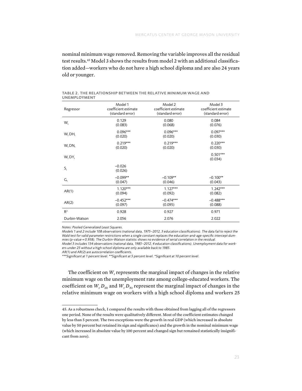nominal minimum wage removed. Removing the variable improves all the residual test results.45 Model 3 shows the results from model 2 with an additional classification added—workers who do not have a high school diploma and are also 24 years old or younger.

| Regressor                 | Model 1              | Model 2              | Model 3               |
|---------------------------|----------------------|----------------------|-----------------------|
|                           | coefficient estimate | coefficient estimate | coefficient estimate  |
|                           | (standard error)     | (standard error)     | (standard error)      |
| W,                        | 0.129                | 0.080                | 0.084                 |
|                           | (0.083)              | (0.068)              | (0.076)               |
| $W_t$ DH <sub>t</sub>     | $0.096***$           | $0.096***$           | $0.097***$            |
|                           | (0.020)              | (0.020)              | (0.030)               |
| W, DN,                    | $0.219***$           | $0.219***$           | $0.220***$            |
|                           | (0.020)              | (0.020)              | (0.030)               |
| $W_t DY_t$                |                      |                      | $0.501***$<br>(0.034) |
| $\mathsf{S}_{\mathrm{t}}$ | $-0.026$<br>(0.026)  |                      |                       |
| $G_t$                     | $-0.099**$           | $-0.109**$           | $-0.100**$            |
|                           | (0.047)              | (0.046)              | (0.043)               |
| AR(1)                     | $1.120***$           | $1.127***$           | $1.242***$            |
|                           | (0.094)              | (0.092)              | (0.082)               |
| AR(2)                     | $-0.452***$          | $-0.474***$          | $-0.488***$           |
|                           | (0.097)              | (0.095)              | (0.088)               |
| $R^2$                     | 0.928                | 0.927                | 0.971                 |
| Durbin-Watson             | 2.056                | 2.076                | 2.022                 |

| TABLE 2. THE RELATIONSHIP BETWEEN THE RELATIVE MINIMUM WAGE AND |  |
|-----------------------------------------------------------------|--|
| <b>UNEMPLOYMENT</b>                                             |  |

*Notes: Pooled Generalized Least Squares.*

*Models 1 and 2 include 108 observations (national data, 1975–2012, 3 education classifications). The data fail to reject the Wald test for valid parameter restrictions when a single constant replaces the education-and-age-specific intercept dummies (p-value = 0.938). The Durbin-Watson statistic shows no evidence of serial correlation in the residual. Model 3 includes 134 observations (national data, 1985–2012, 4 education classifications). Unemployment data for workers under 25 without a high school diploma are only available back to 1985.*

*AR(1) and AR(2) are autocorrelation coefficients.*

*\*\*\*Significant at 1 percent level. \*\*Significant at 5 percent level. \*Significant at 10 percent level.*

The coefficient on  $W_t$  represents the marginal impact of changes in the relative minimum wage on the unemployment rate among college-educated workers. The coefficient on  $W_t D_{Ht}$  and  $W_t D_{Nt}$  represent the marginal impact of changes in the relative minimum wage on workers with a high school diploma and workers 25

<sup>45.</sup> As a robustness check, I compared the results with those obtained from lagging all of the regressors one period. None of the results were qualitatively different. Most of the coefficient estimates changed by less than 5 percent. The two exceptions were the growth in real GDP (which increased in absolute value by 50 percent but retained its sign and significance) and the growth in the nominal minimum wage (which increased in absolute value by 100 percent and changed sign but remained statistically insignificant from zero).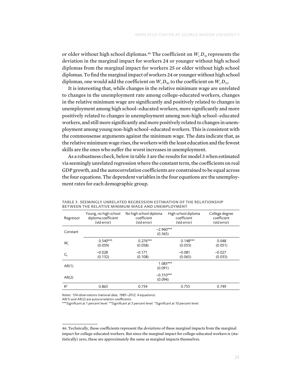or older without high school diplomas.<sup>46</sup> The coefficient on  $W_t D_{Y_t}$  represents the deviation in the marginal impact for workers 24 or younger without high school diplomas from the marginal impact for workers 25 or older without high school diplomas. To find the marginal impact of workers 24 or younger without high school diplomas, one would add the coefficient on  $W_t D_{Nt}$  to the coefficient on  $W_t D_{Yt}$ .

It is interesting that, while changes in the relative minimum wage are unrelated to changes in the unemployment rate among college-educated workers, changes in the relative minimum wage are significantly and positively related to changes in unemployment among high school–educated workers, more significantly and more positively related to changes in unemployment among non-high school–educated workers, and still more significantly and more positively related to changes in unemployment among young non-high school–educated workers. This is consistent with the commonsense arguments against the minimum wage. The data indicate that, as the relative minimum wage rises, the workers with the least education and the fewest skills are the ones who suffer the worst increases in unemployment.

As a robustness check, below in table 3 are the results for model 3 when estimated via seemingly unrelated regression where the constant term, the coefficients on real GDP growth, and the autocorrelation coefficients are constrained to be equal across the four equations. The dependent variables in the four equations are the unemployment rates for each demographic group.

| Regressor      | Young, no high school<br>diploma coefficient<br>(std error) | No high school diploma<br>coefficient<br>(std error) | High school diploma<br>coefficient<br>(std error) | College degree<br>coefficient<br>(std error) |
|----------------|-------------------------------------------------------------|------------------------------------------------------|---------------------------------------------------|----------------------------------------------|
| Constant       | $-2.960***$<br>(0.365)                                      |                                                      |                                                   |                                              |
| W,             | $0.540***$<br>(0.059)                                       | $0.276***$<br>(0.058)                                | $0.148***$<br>(0.053)                             | 0.048<br>(0.051)                             |
| G,             | $-0.028$<br>(0.132)                                         | $-0.171$<br>(0.108)                                  | $-0.081$<br>(0.065)                               | $-0.027$<br>(0.033)                          |
| AR(1)          |                                                             | (0.091)                                              | $1.083***$                                        |                                              |
| AR(2)          |                                                             | $-0.310***$<br>(0.094)                               |                                                   |                                              |
| R <sup>2</sup> | 0.863                                                       | 0.734                                                | 0.755                                             | 0.749                                        |

Table 3. Seemingly Unrelated Regression Estimation of the Relationship between the Relative Minimum Wage and Unemployment

*Notes: 134 observations (national data, 1985–2012, 4 equations).*

*AR(1) and AR(2) are autocorrelation coefficients.*

*\*\*\*Significant at 1 percent level. \*\*Significant at 5 percent level. \*Significant at 10 percent level.*

<sup>46.</sup> Technically, these coefficients represent the *deviations* of these marginal impacts from the marginal impact for college-educated workers. But since the marginal impact for college-educated workers is (statistically) zero, these are approximately the same as marginal impacts themselves.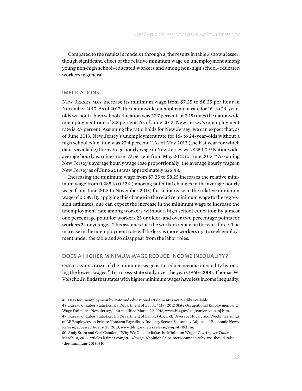Compared to the results in models 1 through 3, the results in table 3 show a lesser, though significant, effect of the relative minimum wage on unemployment among young non-high school–educated workers and among non-high school–educated workers in general.

#### **IMPLICATIONS**

New Jersey may increase its minimum wage from \$7.25 to \$8.25 per hour in November 2013. As of 2012, the nationwide unemployment rate for 16- to 24-yearolds without a high school education was 27.7 percent, or 3.15 times the nationwide unemployment rate of 8.8 percent. As of June 2013, New Jersey's unemployment rate is 8.7 percent. Assuming the ratio holds for New Jersey, we can expect that, as of June 2013, New Jersey's unemployment rate for 16- to 24-year-olds without a high school education was 27.4 percent.<sup>47</sup> As of May 2012 (the last year for which data is available) the average hourly wage in New Jersey was \$25.00.<sup>48</sup> Nationwide, average hourly earnings rose 1.9 percent from May 2012 to June 2013.49 Assuming New Jersey's average hourly wage rose proportionally, the average hourly wage in New Jersey as of June 2013 was approximately \$25.48.

Increasing the minimum wage from \$7.25 to \$8.25 increases the relative minimum wage from 0.285 to 0.324 (ignoring potential changes in the average hourly wage from June 2013 to November 2013) for an increase in the relative minimum wage of 0.039. By applying this change in the relative minimum wage to the regression estimates, one can expect the increase in the minimum wage to increase the unemployment rate among workers without a high school education by almost one percentage point for workers 25 or older, and over two percentage points for workers 24 or younger. This assumes that the workers remain in the workforce. The increase in the unemployment rate will be less as more workers opt to seek employment under the table and so disappear from the labor roles.

# Does a Higher Minimum Wage Reduce Income Inequality?

ONE POSSIBLE GOAL of the minimum wage is to reduce income inequality by raising the lowest wages.50 In a cross-state study over the years 1960–2000, Thomas W. Volscho Jr. finds that states with higher minimum wages have less income inequality,

<sup>47.</sup> Data for unemployment by state and educational attainment is not readily available.

<sup>48.</sup> Bureau of Labor Statistics, US Department of Labor, "May 2012 State Occupational Employment and Wage Estimates: New Jersey," last modified March 29, 2013, [www.bls.gov/oes/current/oes\\_nj.htm](http://www.bls.gov/oes/current/oes_nj.htm).

<sup>49.</sup> Bureau of Labor Statistics, US Department of Labor, table B-3, "Average Hourly and Weekly Earnings of All Employees on Private Nonfarm Payrolls by Industry Sector, Seasonally Adjusted," Economic News Release, accessed August 25, 2013, [www.bls.gov/news.release/empsit.t19.htm.](http://www.bls.gov/news.release/empsit.t19.htm)

<sup>50.</sup> Andy Stern and Carl Camden, "Why We Need to Raise the Minimum Wage," *Los Angeles Times*, March 10, 2013, [articles.latimes.com/2013/mar/10/opinion/la-oe-stern-camden-why-we-should-raise](http://articles.latimes.com/2013/mar/10/opinion/la-oe-stern-camden-why-we-should-raise-the-minimum-20130310) [-the-minimum-20130310.](http://articles.latimes.com/2013/mar/10/opinion/la-oe-stern-camden-why-we-should-raise-the-minimum-20130310)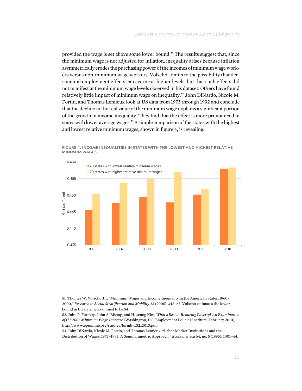provided the wage is set above some lower bound.<sup>51</sup> The results suggest that, since the minimum wage is not adjusted for inflation, inequality arises because inflation asymmetrically erodes the purchasing power of the incomes of minimum wage workers versus non-minimum wage workers. Volscho admits to the possibility that detrimental employment effects can accrue at higher levels, but that such effects did not manifest at the minimum wage levels observed in his dataset. Others have found relatively little impact of minimum wage on inequality.<sup>52</sup> John DiNardo, Nicole M. Fortin, and Thomas Lemieux look at US data from 1973 through 1992 and conclude that the decline in the real value of the minimum wage explains a significant portion of the growth in income inequality. They find that the effect is more pronounced in states with lower average wages.<sup>53</sup> A simple comparison of the states with the highest and lowest relative minimum wages, shown in figure 4, is revealing.



Figure 4. Income Inequalities in States with the Lowest and Highest Relative Minimum Wages

<sup>51.</sup> Thomas W. Volscho Jr., "Minimum Wages and Income Inequality in the American States, 1960– 2000," *Research in Social Stratification and Mobility* 23 (2005): 343–68. Volscho estimates the lower bound in the data he examined to be \$4.

<sup>52.</sup> John P. Formby, John A. Bishop, and Hoseong Kim, *What's Best at Reducing Poverty? An Examination of the 2007 Minimum Wage Increase* (Washington, DC: Employment Policies Institute, February 2010), [http://www.epionline.org/studies/formby\\_02\\_2010.pdf.](http://www.epionline.org/studies/formby_02_2010.pdf)

<sup>53.</sup> John DiNardo, Nicole M. Fortin, and Thomas Lemieux, "Labor Market Institutions and the Distribution of Wages, 1972–1992: A Semiparametric Approach," *Econometrica* 64, no. 5 (1996): 1001–44.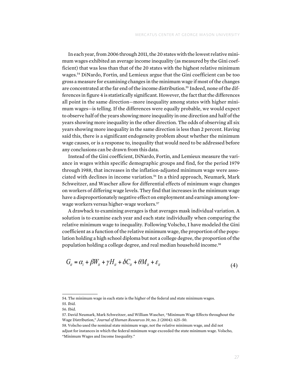In each year, from 2006 through 2011, the 20 states with the lowest relative minimum wages exhibited an average income inequality (as measured by the Gini coefficient) that was less than that of the 20 states with the highest relative minimum wages.54 DiNardo, Fortin, and Lemieux argue that the Gini coefficient can be too gross a measure for examining changes in the minimum wage if most of the changes are concentrated at the far end of the income distribution.55 Indeed, none of the differences in figure 4 is statistically significant. However, the fact that the differences all point in the same direction—more inequality among states with higher minimum wages—is telling. If the differences were equally probable, we would expect to observe half of the years showing more inequality in one direction and half of the years showing more inequality in the other direction. The odds of observing all six years showing more inequality in the same direction is less than 2 percent. Having said this, there is a significant endogeneity problem about whether the minimum wage causes, or is a response to, inequality that would need to be addressed before any conclusions can be drawn from this data.

Instead of the Gini coefficient, DiNardo, Fortin, and Lemieux measure the variance in wages within specific demographic groups and find, for the period 1979 through 1988, that increases in the inflation-adjusted minimum wage were associated with declines in income variation.<sup>56</sup> In a third approach, Neumark, Mark Schweitzer, and Wascher allow for differential effects of minimum wage changes on workers of differing wage levels. They find that increases in the minimum wage have a disproportionately negative effect on employment and earnings among lowto inequality. For integral income was higher-wage workers.<sup>57</sup> have modeled the Gini coefficient as a function of the Gini coefficient as a function of the Gini coefficient as a function of the Gini coefficient as a funct

A drawback to examining averages is that averages mask individual variation. A solution is to examine each year and each state individually when comparing the relative minimum wage to inequality. Following Volscho, I have modeled the Gini coefficient as a function of the relative minimum wage, the proportion of the population lation holding a high school diploma but not a college degree, the proportion of the population holding a college degree, and real median household income.58

$$
G_{it} = \alpha_i + \beta W_{it} + \gamma H_{it} + \delta C_{it} + \theta M_{it} + \varepsilon_{it}
$$
\n<sup>(4)</sup>

<sup>54.</sup> The minimum wage in each state is the higher of the federal and state minimum wages.

<sup>55.</sup> Ibid. *Git* Gini coefficient for state *i* in year *t*.

<sup>56.</sup> Ibid.

<sup>57.</sup> David Neumark, Mark Schweitzer, and William Wascher, "Minimum Wage Effects throughout the minimum wage in the minimum wage in the minimum wage in the minimum wage in the average of the minimum wage in the minimum wage Wage Distribution," *Journal of Human Resources* 39, no. 2 (2004): 425–50.

<sup>58.</sup> Volscho used the nominal state minimum wage, not the relative minimum wage, and did not adjust for instances in which the federal minimum wage exceeded the state minimum wage. Volscho, "Minimum Wages and Income Inequality."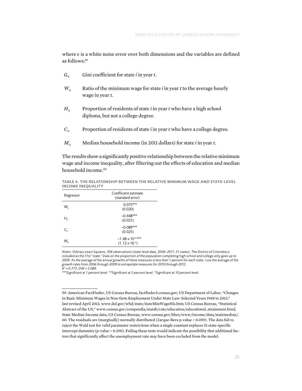where ε is a white noise error over both dimensions and the variables are defined as follows:59

- $G_{it}$  Gini coefficient for state *i* in year *t*.
- $W_{\mu}$  Ratio of the minimum wage for state *i* in year *t* to the average hourly wage in year *t*.
- $H_i$  Proportion of residents of state *i* in year *t* who have a high school diploma, but not a college degree.
- *Cit* Proportion of residents of state *i* in year *t* who have a college degree.
- $M_{it}$  Median household income (in 2011 dollars) for state *i* in year *t*.

The results show a significantly positive relationship between the relative minimum wage and income inequality, after filtering out the effects of education and median household income.<sup>60</sup>

Table 4. The Relationship between the Relative Minimum Wage and State-Level Income Inequality

| Regressor                | Coefficient estimate<br>(standard error)             |
|--------------------------|------------------------------------------------------|
| $W_{\dot{r}}$            | $0.075***$<br>(0.020)                                |
| Н.,                      | $-0.448***$<br>(0.021)                               |
| $\mathsf{C}_\mathsf{it}$ | $-0.089***$<br>(0.025)                               |
| М.                       | $-1.48 \times 10^{-6***}$<br>$(1.12 \times 10^{-7})$ |

*Notes: Odinary Least Squares, 306 observations (state-level data, 2006–2011, 51 states). The District of Columbia is included as the 51st "state." Data on the proportion of the population completing high school and college only goes up to 2009. As the average of the annual growths of these measures is less than 1 percent for each state, I use the average of the growth rates from 2006 through 2009 to extrapolate measures for 2010 through 2012. R2 = 0.773, DW = 2.089.*

*\*\*\*Significant at 1 percent level. \*\*Significant at 5 percent level. \*Significant at 10 percent level.*

<sup>59.</sup> American FactFinder, US Census Bureau, factfinder2.census.gov; US Department of Labor, "Changes in Basic Minimum Wages in Non-farm Employment Under State Law: Selected Years 1968 to 2013," last revised April 2013, [www.dol.gov/whd/state/stateMinWageHis.htm;](http://www.dol.gov/whd/state/stateMinWageHis.htm) US Census Bureau, "Statistical Abstract of the US," [www.census.gov/compendia/statab/cats/education/educational\\_attainment.html](www.census.gov/compendia/statab/cats/education/educational_attainment.html); State Median Income data, US Census Bureau, [www.census.gov/hhes/www/income/data/statemedian/.](http://www.census.gov/hhes/www/income/data/statemedian/) 60. The residuals are (marginally) normally distributed (Jarque-Bera p-value = 0.059). The data fail to reject the Wald test for valid parameter restrictions when a single constant replaces 51 state-specific intercept dummies (p-value = 0.290). Failing these tests would indicate the possibility that additional factors that significantly affect the unemployment rate may have been excluded from the model.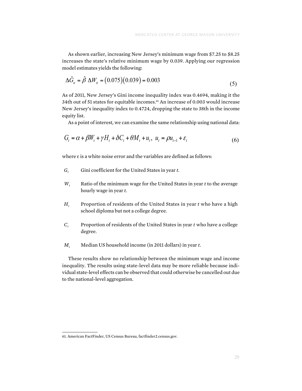As shown earlier, increasing New Jersey's minimum wage from \$7.25 to \$8.25 increases the state's relative minimum wage by 0.039. Applying our regression model estimates yields the following:

$$
\Delta \hat{G}_{ii} = \hat{\beta} \ \Delta W_{ii} = (0.075)(0.039) = 0.003 \tag{5}
$$

As of 2011, New Jersey's Gini income inequality index was 0.4694, making it the 34th out of 51 states for equitable incomes.<sup>61</sup> An increase of 0.003 would increase New Jersey's inequality index to 0.4724, dropping the state to 38th in the income equity list.

As a point of interest, we can examine the same relationship using national data:

$$
G_t = \alpha + \beta W_t + \gamma H_t + \delta C_t + \theta M_t + u_t, \ u_t = \rho u_{t-1} + \varepsilon_t
$$
\n
$$
\tag{6}
$$

where  $\varepsilon$  is a white noise error and the variables are defined as follows:

- *Gt* Gini coefficient for the United States in year *t*.  $G_t$  Gini coefficient for the United States in  $G_t$ 
	- $W_t$  Ratio of the minimum wage for the United States in year t to the average hourly wage in year *t*.
	- $H_t$  Proportion of residents of the United States in year  $t$  who have a high school diploma but not a college degree. but not a college degree. Proportion of residents of the United States in year *t* who have a high  $\mathbf{u}_t$  r
- $C_t$  Proportion of residents of the United States in year *t* who have a college docroe degree.
	- $M_t$  Median US household income (in 2011 dollars) in year t.

These results show no relationship between the minimum wage and income I hese results show no relationship between the imminum wage and medine inequality. The results using state-level data may be more reliable because individual state-level effects can be observed that could otherwise be cancelled out due be observed that could other wise be cancelled out of the national-level aggregation.

<sup>–</sup> Cornsus Bureau, factfinder, Carlie and Sureau, factfinder<br>1990 - Coeffinder Die Bureau, factfinder<br>1990 - Coefficient Bureau, factfinder<br>1990 - Coefficient Bureau, factfinder Regressor Coefficient 
estimate